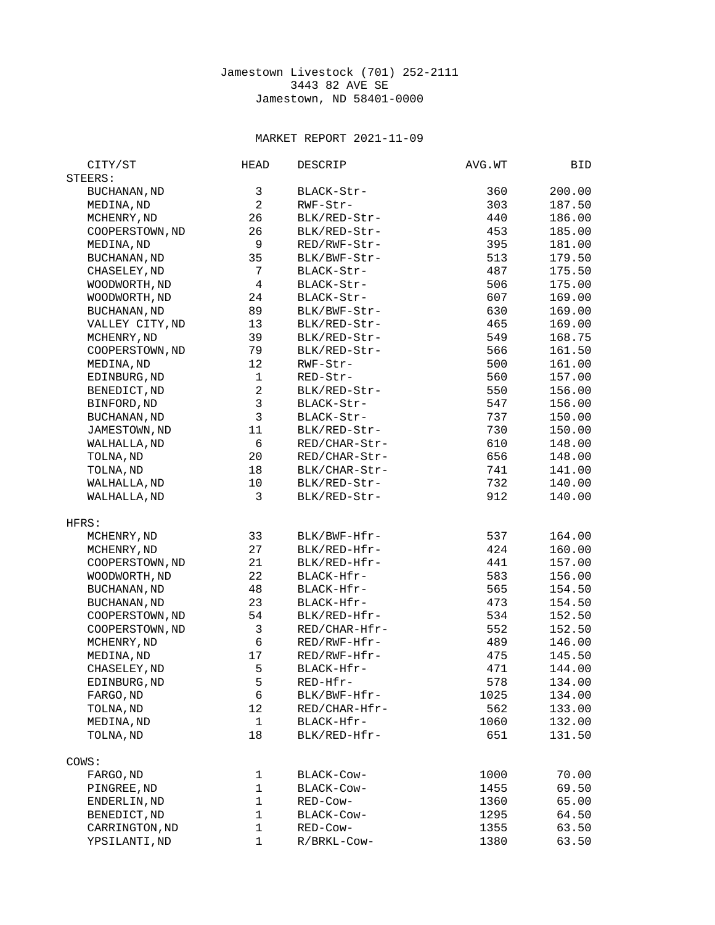## Jamestown Livestock (701) 252-2111 3443 82 AVE SE Jamestown, ND 58401-0000

## MARKET REPORT 2021-11-09

| CITY/ST             | <b>HEAD</b>             | DESCRIP       | AVG.WT | BID.   |
|---------------------|-------------------------|---------------|--------|--------|
| STEERS:             |                         |               |        |        |
| BUCHANAN, ND        | 3                       | BLACK-Str-    | 360    | 200.00 |
| MEDINA, ND          | $\overline{c}$          | RWF-Str-      | 303    | 187.50 |
| MCHENRY, ND         | 26                      | BLK/RED-Str-  | 440    | 186.00 |
| COOPERSTOWN, ND     | 26                      | BLK/RED-Str-  | 453    | 185.00 |
| MEDINA, ND          | 9                       | RED/RWF-Str-  | 395    | 181.00 |
| <b>BUCHANAN, ND</b> | 35                      | BLK/BWF-Str-  | 513    | 179.50 |
| CHASELEY, ND        | $\overline{7}$          | BLACK-Str-    | 487    | 175.50 |
| WOODWORTH, ND       | $\overline{\mathbf{4}}$ | BLACK-Str-    | 506    | 175.00 |
| WOODWORTH, ND       | 24                      | BLACK-Str-    | 607    | 169.00 |
| BUCHANAN, ND        | 89                      | BLK/BWF-Str-  | 630    | 169.00 |
| VALLEY CITY, ND     | 13                      | BLK/RED-Str-  | 465    | 169.00 |
| MCHENRY, ND         | 39                      | BLK/RED-Str-  | 549    | 168.75 |
| COOPERSTOWN, ND     | 79                      | BLK/RED-Str-  | 566    | 161.50 |
| MEDINA, ND          | 12                      | RWF-Str-      | 500    | 161.00 |
| EDINBURG, ND        | $\mathbf{1}$            | RED-Str-      | 560    | 157.00 |
| BENEDICT, ND        | $\overline{c}$          | BLK/RED-Str-  | 550    | 156.00 |
| BINFORD, ND         | 3                       | BLACK-Str-    | 547    | 156.00 |
| <b>BUCHANAN, ND</b> | 3                       | BLACK-Str-    | 737    | 150.00 |
| JAMESTOWN, ND       | 11                      | BLK/RED-Str-  | 730    | 150.00 |
| WALHALLA, ND        | 6                       | RED/CHAR-Str- | 610    | 148.00 |
| TOLNA, ND           | 20                      | RED/CHAR-Str- | 656    | 148.00 |
| TOLNA, ND           | 18                      | BLK/CHAR-Str- | 741    | 141.00 |
| WALHALLA, ND        | 10                      | BLK/RED-Str-  | 732    | 140.00 |
| WALHALLA, ND        | 3                       | BLK/RED-Str-  | 912    | 140.00 |
|                     |                         |               |        |        |
| HFRS:               |                         |               |        |        |
| MCHENRY, ND         | 33                      | BLK/BWF-Hfr-  | 537    | 164.00 |
| MCHENRY, ND         | 27                      | BLK/RED-Hfr-  | 424    | 160.00 |
| COOPERSTOWN, ND     | 21                      | BLK/RED-Hfr-  | 441    | 157.00 |
| WOODWORTH, ND       | 22                      | BLACK-Hfr-    | 583    | 156.00 |
| BUCHANAN, ND        | 48                      | BLACK-Hfr-    | 565    | 154.50 |
| BUCHANAN, ND        | 23                      | BLACK-Hfr-    | 473    | 154.50 |
| COOPERSTOWN, ND     | 54                      | BLK/RED-Hfr-  | 534    | 152.50 |
| COOPERSTOWN, ND     | 3                       | RED/CHAR-Hfr- | 552    | 152.50 |
| MCHENRY, ND         | 6                       | RED/RWF-Hfr-  | 489    | 146.00 |
| MEDINA, ND          | 17                      | RED/RWF-Hfr-  | 475    | 145.50 |
| CHASELEY, ND        | 5                       | BLACK-Hfr-    | 471    | 144.00 |
| EDINBURG, ND        | 5                       | RED-Hfr-      | 578    | 134.00 |
| FARGO, ND           | 6                       | BLK/BWF-Hfr-  | 1025   | 134.00 |
| TOLNA, ND           | 12                      | RED/CHAR-Hfr- | 562    | 133.00 |
| MEDINA, ND          | $\mathbf{1}$            | BLACK-Hfr-    | 1060   | 132.00 |
| TOLNA, ND           | 18                      | BLK/RED-Hfr-  | 651    | 131.50 |
|                     |                         |               |        |        |
| COWS:               |                         |               |        |        |
| FARGO, ND           | $\mathbf{1}$            | BLACK-Cow-    | 1000   | 70.00  |
| PINGREE, ND         | $\mathbf{1}$            | BLACK-Cow-    | 1455   | 69.50  |
| ENDERLIN, ND        | $\mathbf{1}$            | RED-Cow-      | 1360   | 65.00  |
| BENEDICT, ND        | $\mathbf{1}$            | BLACK-Cow-    | 1295   | 64.50  |
| CARRINGTON, ND      | $\mathbf{1}$            | RED-Cow-      | 1355   | 63.50  |
| YPSILANTI, ND       | $\mathbf{1}$            | R/BRKL-Cow-   | 1380   | 63.50  |